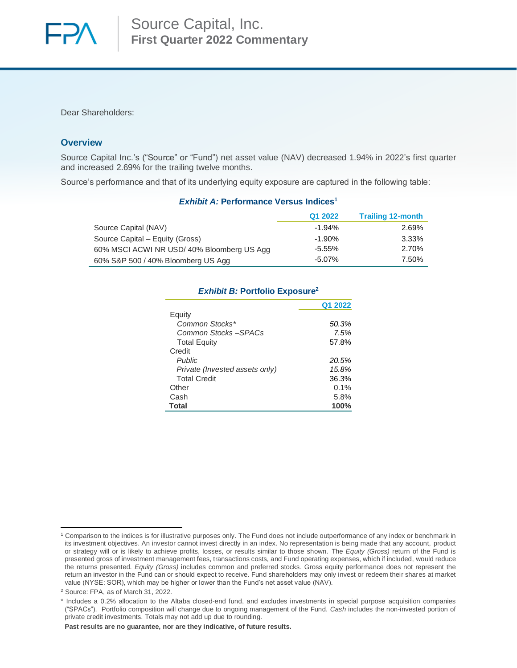

Dear Shareholders:

### **Overview**

Source Capital Inc.'s ("Source" or "Fund") net asset value (NAV) decreased 1.94% in 2022's first quarter and increased 2.69% for the trailing twelve months.

Source's performance and that of its underlying equity exposure are captured in the following table:

| <i>Exhibit A:</i> Performance versus indices' |           |                          |  |  |  |  |
|-----------------------------------------------|-----------|--------------------------|--|--|--|--|
|                                               | Q1 2022   | <b>Trailing 12-month</b> |  |  |  |  |
| Source Capital (NAV)                          | $-1.94%$  | 2.69%                    |  |  |  |  |
| Source Capital – Equity (Gross)               | $-1.90\%$ | 3.33%                    |  |  |  |  |
| 60% MSCI ACWI NR USD/40% Bloomberg US Agg     | -5.55%    | 2.70%                    |  |  |  |  |
| 60% S&P 500 / 40% Bloomberg US Agg            | $-5.07\%$ | 7.50%                    |  |  |  |  |

# *Exhibit A:* **Performance Versus Indices<sup>1</sup>**

## *Exhibit B:* **Portfolio Exposure<sup>2</sup>**

|                                | Q1 2022 |
|--------------------------------|---------|
| Equity                         |         |
| Common Stocks*                 | 50.3%   |
| Common Stocks-SPACs            | 7.5%    |
| <b>Total Equity</b>            | 57.8%   |
| Credit                         |         |
| <b>Public</b>                  | 20.5%   |
| Private (Invested assets only) | 15.8%   |
| <b>Total Credit</b>            | 36.3%   |
| Other                          | $0.1\%$ |
| Cash                           | 5.8%    |
| <b>Total</b>                   | 100%    |

**Past results are no guarantee, nor are they indicative, of future results.**

<sup>1</sup> Comparison to the indices is for illustrative purposes only. The Fund does not include outperformance of any index or benchmark in its investment objectives. An investor cannot invest directly in an index. No representation is being made that any account, product or strategy will or is likely to achieve profits, losses, or results similar to those shown. The *Equity (Gross)* return of the Fund is presented gross of investment management fees, transactions costs, and Fund operating expenses, which if included, would reduce the returns presented. *Equity (Gross)* includes common and preferred stocks. Gross equity performance does not represent the return an investor in the Fund can or should expect to receive. Fund shareholders may only invest or redeem their shares at market value (NYSE: SOR), which may be higher or lower than the Fund's net asset value (NAV).

<sup>2</sup> Source: FPA, as of March 31, 2022.

<sup>\*</sup> Includes a 0.2% allocation to the Altaba closed-end fund, and excludes investments in special purpose acquisition companies ("SPACs"). Portfolio composition will change due to ongoing management of the Fund. *Cash* includes the non-invested portion of private credit investments. Totals may not add up due to rounding.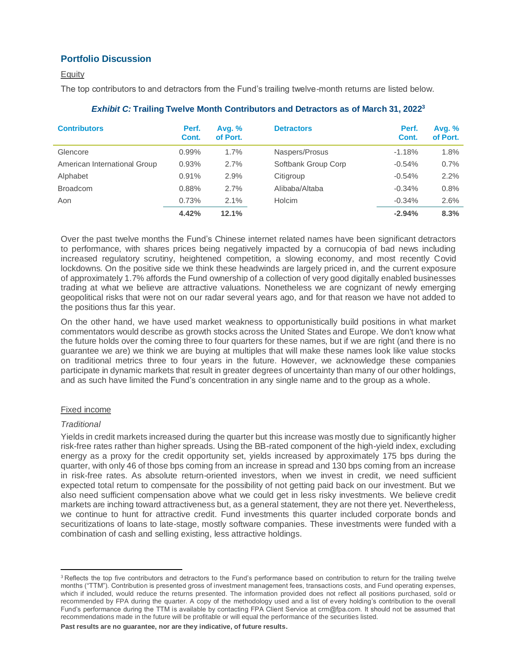# **Portfolio Discussion**

## **Equity**

The top contributors to and detractors from the Fund's trailing twelve-month returns are listed below.

| <b>Contributors</b>          | Perf.<br>Cont. | <b>Avg. %</b><br>of Port. | <b>Detractors</b>   | Perf.<br>Cont. | Avg. $%$<br>of Port. |
|------------------------------|----------------|---------------------------|---------------------|----------------|----------------------|
| Glencore                     | $0.99\%$       | 1.7%                      | Naspers/Prosus      | $-1.18%$       | 1.8%                 |
| American International Group | 0.93%          | 2.7%                      | Softbank Group Corp | $-0.54%$       | 0.7%                 |
| Alphabet                     | 0.91%          | 2.9%                      | Citigroup           | $-0.54%$       | 2.2%                 |
| <b>Broadcom</b>              | 0.88%          | 2.7%                      | Alibaba/Altaba      | $-0.34%$       | 0.8%                 |
| Aon                          | 0.73%          | 2.1%                      | Holcim              | $-0.34%$       | 2.6%                 |
|                              | 4.42%          | 12.1%                     |                     | $-2.94%$       | 8.3%                 |

## *Exhibit C:* **Trailing Twelve Month Contributors and Detractors as of March 31, 2022 3**

Over the past twelve months the Fund's Chinese internet related names have been significant detractors to performance, with shares prices being negatively impacted by a cornucopia of bad news including increased regulatory scrutiny, heightened competition, a slowing economy, and most recently Covid lockdowns. On the positive side we think these headwinds are largely priced in, and the current exposure of approximately 1.7% affords the Fund ownership of a collection of very good digitally enabled businesses trading at what we believe are attractive valuations. Nonetheless we are cognizant of newly emerging geopolitical risks that were not on our radar several years ago, and for that reason we have not added to the positions thus far this year.

On the other hand, we have used market weakness to opportunistically build positions in what market commentators would describe as growth stocks across the United States and Europe. We don't know what the future holds over the coming three to four quarters for these names, but if we are right (and there is no guarantee we are) we think we are buying at multiples that will make these names look like value stocks on traditional metrics three to four years in the future. However, we acknowledge these companies participate in dynamic markets that result in greater degrees of uncertainty than many of our other holdings, and as such have limited the Fund's concentration in any single name and to the group as a whole.

#### Fixed income

#### *Traditional*

Yields in credit markets increased during the quarter but this increase was mostly due to significantly higher risk-free rates rather than higher spreads. Using the BB-rated component of the high-yield index, excluding energy as a proxy for the credit opportunity set, yields increased by approximately 175 bps during the quarter, with only 46 of those bps coming from an increase in spread and 130 bps coming from an increase in risk-free rates. As absolute return-oriented investors, when we invest in credit, we need sufficient expected total return to compensate for the possibility of not getting paid back on our investment. But we also need sufficient compensation above what we could get in less risky investments. We believe credit markets are inching toward attractiveness but, as a general statement, they are not there yet. Nevertheless, we continue to hunt for attractive credit. Fund investments this quarter included corporate bonds and securitizations of loans to late-stage, mostly software companies. These investments were funded with a combination of cash and selling existing, less attractive holdings.

**Past results are no guarantee, nor are they indicative, of future results.**

<sup>&</sup>lt;sup>3</sup> Reflects the top five contributors and detractors to the Fund's performance based on contribution to return for the trailing twelve months ("TTM"). Contribution is presented gross of investment management fees, transactions costs, and Fund operating expenses, which if included, would reduce the returns presented. The information provided does not reflect all positions purchased, sold or recommended by FPA during the quarter. A copy of the methodology used and a list of every holding's contribution to the overall Fund's performance during the TTM is available by contacting FPA Client Service at crm@fpa.com. It should not be assumed that recommendations made in the future will be profitable or will equal the performance of the securities listed.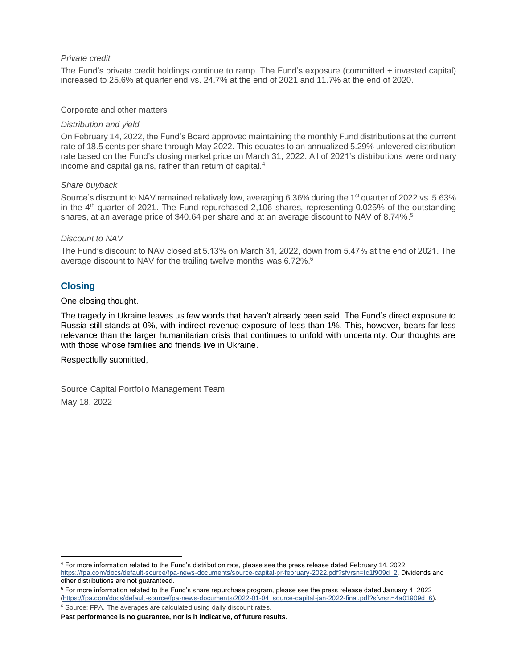### *Private credit*

The Fund's private credit holdings continue to ramp. The Fund's exposure (committed + invested capital) increased to 25.6% at quarter end vs. 24.7% at the end of 2021 and 11.7% at the end of 2020.

#### Corporate and other matters

#### *Distribution and yield*

On February 14, 2022, the Fund's Board approved maintaining the monthly Fund distributions at the current rate of 18.5 cents per share through May 2022. This equates to an annualized 5.29% unlevered distribution rate based on the Fund's closing market price on March 31, 2022. All of 2021's distributions were ordinary income and capital gains, rather than return of capital.<sup>4</sup>

### *Share buyback*

Source's discount to NAV remained relatively low, averaging 6.36% during the 1<sup>st</sup> quarter of 2022 vs. 5.63% in the  $4<sup>th</sup>$  quarter of 2021. The Fund repurchased 2,106 shares, representing 0.025% of the outstanding shares, at an average price of \$40.64 per share and at an average discount to NAV of 8.74%.<sup>5</sup>

### *Discount to NAV*

The Fund's discount to NAV closed at 5.13% on March 31, 2022, down from 5.47% at the end of 2021. The average discount to NAV for the trailing twelve months was 6.72%.<sup>6</sup>

# **Closing**

#### One closing thought.

The tragedy in Ukraine leaves us few words that haven't already been said. The Fund's direct exposure to Russia still stands at 0%, with indirect revenue exposure of less than 1%. This, however, bears far less relevance than the larger humanitarian crisis that continues to unfold with uncertainty. Our thoughts are with those whose families and friends live in Ukraine.

#### Respectfully submitted,

Source Capital Portfolio Management Team May 18, 2022

<sup>5</sup> For more information related to the Fund's share repurchase program, please see the press release dated January 4, 2022 [\(https://fpa.com/docs/default-source/fpa-news-documents/2022-01-04\\_source-capital-jan-2022-final.pdf?sfvrsn=4a01909d\\_6\)](https://fpa.com/docs/default-source/fpa-news-documents/2022-01-04_source-capital-jan-2022-final.pdf?sfvrsn=4a01909d_6).

<sup>6</sup> Source: FPA. The averages are calculated using daily discount rates.

<sup>4</sup> For more information related to the Fund's distribution rate, please see the press release dated February 14, 2022 [https://fpa.com/docs/default-source/fpa-news-documents/source-capital-pr-february-2022.pdf?sfvrsn=fc1f909d\\_2.](https://fpa.com/docs/default-source/fpa-news-documents/source-capital-pr-february-2022.pdf?sfvrsn=fc1f909d_2) Dividends and other distributions are not guaranteed.

**Past performance is no guarantee, nor is it indicative, of future results.**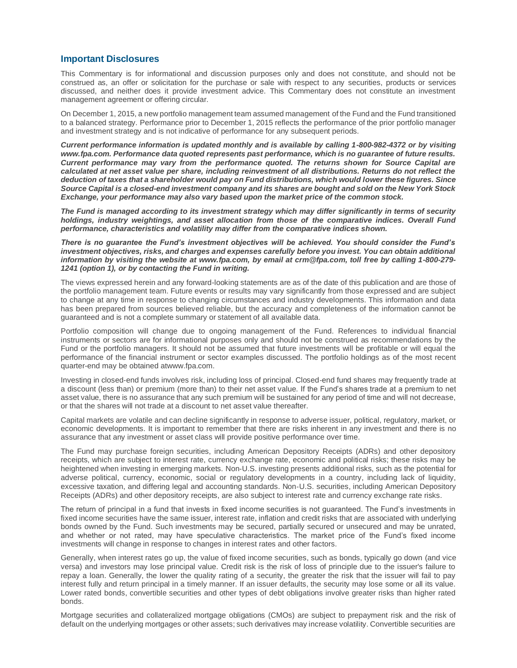#### **Important Disclosures**

This Commentary is for informational and discussion purposes only and does not constitute, and should not be construed as, an offer or solicitation for the purchase or sale with respect to any securities, products or services discussed, and neither does it provide investment advice. This Commentary does not constitute an investment management agreement or offering circular.

On December 1, 2015, a new portfolio management team assumed management of the Fund and the Fund transitioned to a balanced strategy. Performance prior to December 1, 2015 reflects the performance of the prior portfolio manager and investment strategy and is not indicative of performance for any subsequent periods.

*Current performance information is updated monthly and is available by calling 1-800-982-4372 or by visiting www.fpa.com. Performance data quoted represents past performance, which is no guarantee of future results. Current performance may vary from the performance quoted. The returns shown for Source Capital are calculated at net asset value per share, including reinvestment of all distributions. Returns do not reflect the deduction of taxes that a shareholder would pay on Fund distributions, which would lower these figures. Since Source Capital is a closed-end investment company and its shares are bought and sold on the New York Stock Exchange, your performance may also vary based upon the market price of the common stock.*

*The Fund is managed according to its investment strategy which may differ significantly in terms of security holdings, industry weightings, and asset allocation from those of the comparative indices. Overall Fund performance, characteristics and volatility may differ from the comparative indices shown.*

*There is no guarantee the Fund's investment objectives will be achieved. You should consider the Fund's investment objectives, risks, and charges and expenses carefully before you invest. You can obtain additional information by visiting the website at www.fpa.com, by email at crm@fpa.com, toll free by calling 1-800-279- 1241 (option 1), or by contacting the Fund in writing.*

The views expressed herein and any forward-looking statements are as of the date of this publication and are those of the portfolio management team. Future events or results may vary significantly from those expressed and are subject to change at any time in response to changing circumstances and industry developments. This information and data has been prepared from sources believed reliable, but the accuracy and completeness of the information cannot be guaranteed and is not a complete summary or statement of all available data.

Portfolio composition will change due to ongoing management of the Fund. References to individual financial instruments or sectors are for informational purposes only and should not be construed as recommendations by the Fund or the portfolio managers. It should not be assumed that future investments will be profitable or will equal the performance of the financial instrument or sector examples discussed. The portfolio holdings as of the most recent quarter-end may be obtained atwww.fpa.com.

Investing in closed-end funds involves risk, including loss of principal. Closed-end fund shares may frequently trade at a discount (less than) or premium (more than) to their net asset value. If the Fund's shares trade at a premium to net asset value, there is no assurance that any such premium will be sustained for any period of time and will not decrease, or that the shares will not trade at a discount to net asset value thereafter.

Capital markets are volatile and can decline significantly in response to adverse issuer, political, regulatory, market, or economic developments. It is important to remember that there are risks inherent in any investment and there is no assurance that any investment or asset class will provide positive performance over time.

The Fund may purchase foreign securities, including American Depository Receipts (ADRs) and other depository receipts, which are subject to interest rate, currency exchange rate, economic and political risks; these risks may be heightened when investing in emerging markets. Non‐U.S. investing presents additional risks, such as the potential for adverse political, currency, economic, social or regulatory developments in a country, including lack of liquidity, excessive taxation, and differing legal and accounting standards. Non‐U.S. securities, including American Depository Receipts (ADRs) and other depository receipts, are also subject to interest rate and currency exchange rate risks.

The return of principal in a fund that invests in fixed income securities is not guaranteed. The Fund's investments in fixed income securities have the same issuer, interest rate, inflation and credit risks that are associated with underlying bonds owned by the Fund. Such investments may be secured, partially secured or unsecured and may be unrated, and whether or not rated, may have speculative characteristics. The market price of the Fund's fixed income investments will change in response to changes in interest rates and other factors.

Generally, when interest rates go up, the value of fixed income securities, such as bonds, typically go down (and vice versa) and investors may lose principal value. Credit risk is the risk of loss of principle due to the issuer's failure to repay a loan. Generally, the lower the quality rating of a security, the greater the risk that the issuer will fail to pay interest fully and return principal in a timely manner. If an issuer defaults, the security may lose some or all its value. Lower rated bonds, convertible securities and other types of debt obligations involve greater risks than higher rated bonds.

Mortgage securities and collateralized mortgage obligations (CMOs) are subject to prepayment risk and the risk of default on the underlying mortgages or other assets; such derivatives may increase volatility. Convertible securities are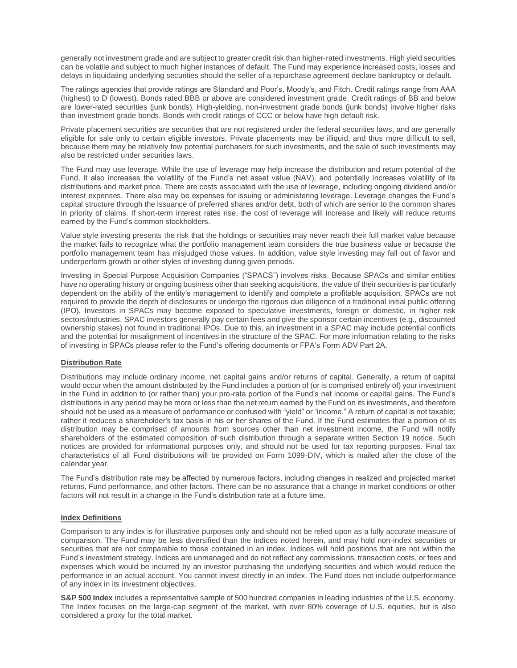generally not investment grade and are subject to greater credit risk than higher‐rated investments. High yield securities can be volatile and subject to much higher instances of default. The Fund may experience increased costs, losses and delays in liquidating underlying securities should the seller of a repurchase agreement declare bankruptcy or default.

The ratings agencies that provide ratings are Standard and Poor's, Moody's, and Fitch. Credit ratings range from AAA (highest) to D (lowest). Bonds rated BBB or above are considered investment grade. Credit ratings of BB and below are lower-rated securities (junk bonds). High-yielding, non-investment grade bonds (junk bonds) involve higher risks than investment grade bonds. Bonds with credit ratings of CCC or below have high default risk.

Private placement securities are securities that are not registered under the federal securities laws, and are generally eligible for sale only to certain eligible investors. Private placements may be illiquid, and thus more difficult to sell, because there may be relatively few potential purchasers for such investments, and the sale of such investments may also be restricted under securities laws.

The Fund may use leverage. While the use of leverage may help increase the distribution and return potential of the Fund, it also increases the volatility of the Fund's net asset value (NAV), and potentially increases volatility of its distributions and market price. There are costs associated with the use of leverage, including ongoing dividend and/or interest expenses. There also may be expenses for issuing or administering leverage. Leverage changes the Fund's capital structure through the issuance of preferred shares and/or debt, both of which are senior to the common shares in priority of claims. If short-term interest rates rise, the cost of leverage will increase and likely will reduce returns earned by the Fund's common stockholders.

Value style investing presents the risk that the holdings or securities may never reach their full market value because the market fails to recognize what the portfolio management team considers the true business value or because the portfolio management team has misjudged those values. In addition, value style investing may fall out of favor and underperform growth or other styles of investing during given periods.

Investing in Special Purpose Acquisition Companies ("SPACS") involves risks. Because SPACs and similar entities have no operating history or ongoing business other than seeking acquisitions, the value of their securities is particularly dependent on the ability of the entity's management to identify and complete a profitable acquisition. SPACs are not required to provide the depth of disclosures or undergo the rigorous due diligence of a traditional initial public offering (IPO). Investors in SPACs may become exposed to speculative investments, foreign or domestic, in higher risk sectors/industries. SPAC investors generally pay certain fees and give the sponsor certain incentives (e.g., discounted ownership stakes) not found in traditional IPOs. Due to this, an investment in a SPAC may include potential conflicts and the potential for misalignment of incentives in the structure of the SPAC. For more information relating to the risks of investing in SPACs please refer to the Fund's offering documents or FPA's Form ADV Part 2A.

#### **Distribution Rate**

Distributions may include ordinary income, net capital gains and/or returns of capital. Generally, a return of capital would occur when the amount distributed by the Fund includes a portion of (or is comprised entirely of) your investment in the Fund in addition to (or rather than) your pro-rata portion of the Fund's net income or capital gains. The Fund's distributions in any period may be more or less than the net return earned by the Fund on its investments, and therefore should not be used as a measure of performance or confused with "yield" or "income." A return of capital is not taxable; rather it reduces a shareholder's tax basis in his or her shares of the Fund. If the Fund estimates that a portion of its distribution may be comprised of amounts from sources other than net investment income, the Fund will notify shareholders of the estimated composition of such distribution through a separate written Section 19 notice. Such notices are provided for informational purposes only, and should not be used for tax reporting purposes. Final tax characteristics of all Fund distributions will be provided on Form 1099-DIV, which is mailed after the close of the calendar year.

The Fund's distribution rate may be affected by numerous factors, including changes in realized and projected market returns, Fund performance, and other factors. There can be no assurance that a change in market conditions or other factors will not result in a change in the Fund's distribution rate at a future time.

#### **Index Definitions**

Comparison to any index is for illustrative purposes only and should not be relied upon as a fully accurate measure of comparison. The Fund may be less diversified than the indices noted herein, and may hold non-index securities or securities that are not comparable to those contained in an index. Indices will hold positions that are not within the Fund's investment strategy. Indices are unmanaged and do not reflect any commissions, transaction costs, or fees and expenses which would be incurred by an investor purchasing the underlying securities and which would reduce the performance in an actual account. You cannot invest directly in an index. The Fund does not include outperformance of any index in its investment objectives.

**S&P 500 Index** includes a representative sample of 500 hundred companies in leading industries of the U.S. economy. The Index focuses on the large-cap segment of the market, with over 80% coverage of U.S. equities, but is also considered a proxy for the total market.